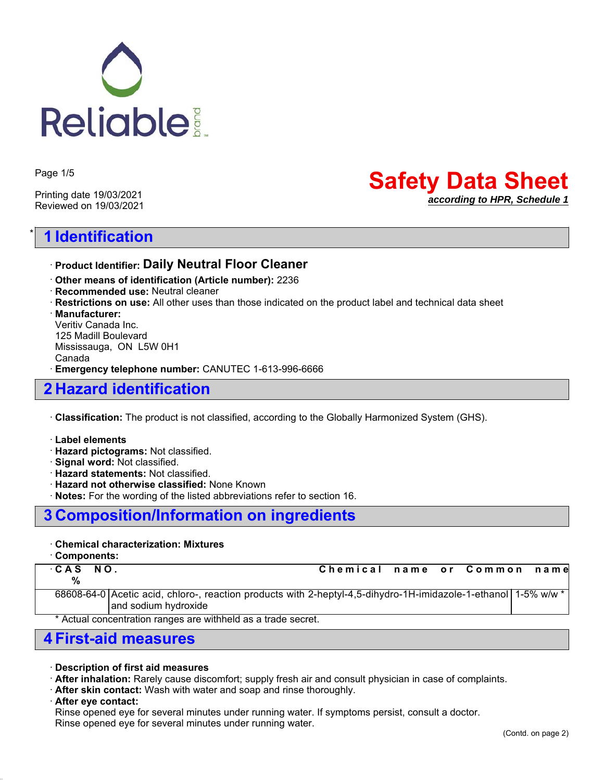

Page 1/5

Printing date 19/03/2021 Reviewed on 19/03/2021

# \* **1 Identification**

# **Safety Data Sheet** *according to HPR, Schedule 1*

## ꞏ **Product Identifier: Daily Neutral Floor Cleaner**

- ꞏ **Other means of identification (Article number):** 2236
- ꞏ **Recommended use:** Neutral cleaner
- ꞏ **Restrictions on use:** All other uses than those indicated on the product label and technical data sheet

ꞏ **Manufacturer:**

Veritiv Canada Inc. 125 Madill Boulevard Mississauga, ON L5W 0H1 Canada ꞏ **Emergency telephone number:** CANUTEC 1-613-996-6666

# **2 Hazard identification**

ꞏ **Classification:** The product is not classified, according to the Globally Harmonized System (GHS).

- ꞏ **Label elements**
- ꞏ **Hazard pictograms:** Not classified.
- ꞏ **Signal word:** Not classified.
- ꞏ **Hazard statements:** Not classified.
- ꞏ **Hazard not otherwise classified:** None Known
- ꞏ **Notes:** For the wording of the listed abbreviations refer to section 16.

## **3 Composition/Information on ingredients**

### ꞏ **Chemical characterization: Mixtures**

ꞏ **Components:**

```
 %
```
ꞏ **CAS NO. Chemical name or Common name**

68608-64-0 Acetic acid, chloro-, reaction products with 2-heptyl-4,5-dihydro-1H-imidazole-1-ethanol and sodium hydroxide 1-5% w/w \*

\* Actual concentration ranges are withheld as a trade secret.

## **4 First-aid measures**

- ꞏ **Description of first aid measures**
- ꞏ **After inhalation:** Rarely cause discomfort; supply fresh air and consult physician in case of complaints.
- ꞏ **After skin contact:** Wash with water and soap and rinse thoroughly.
- ꞏ **After eye contact:**

Rinse opened eye for several minutes under running water. If symptoms persist, consult a doctor. Rinse opened eye for several minutes under running water.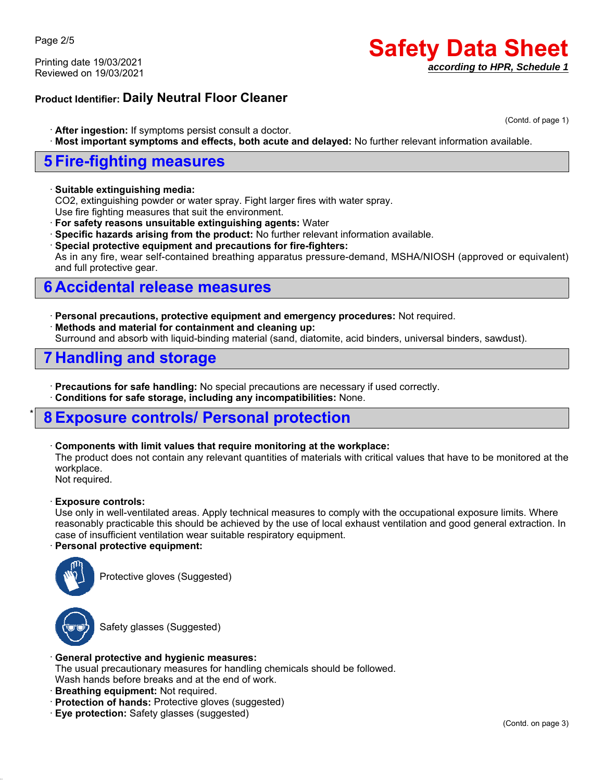Page 2/5

Printing date 19/03/2021 Reviewed on 19/03/2021

# **Safety Data Sheet** *according to HPR, Schedule 1*

## **Product Identifier: Daily Neutral Floor Cleaner**

(Contd. of page 1)

- ꞏ **After ingestion:** If symptoms persist consult a doctor.
- ꞏ **Most important symptoms and effects, both acute and delayed:** No further relevant information available.

## **5 Fire-fighting measures**

#### ꞏ **Suitable extinguishing media:**

CO2, extinguishing powder or water spray. Fight larger fires with water spray.

Use fire fighting measures that suit the environment.

ꞏ **For safety reasons unsuitable extinguishing agents:** Water

- ꞏ **Specific hazards arising from the product:** No further relevant information available.
- ꞏ **Special protective equipment and precautions for fire-fighters:**

As in any fire, wear self-contained breathing apparatus pressure-demand, MSHA/NIOSH (approved or equivalent) and full protective gear.

# **6 Accidental release measures**

ꞏ **Personal precautions, protective equipment and emergency procedures:** Not required. ꞏ **Methods and material for containment and cleaning up:** Surround and absorb with liquid-binding material (sand, diatomite, acid binders, universal binders, sawdust).

# **7 Handling and storage**

ꞏ **Precautions for safe handling:** No special precautions are necessary if used correctly.

ꞏ **Conditions for safe storage, including any incompatibilities:** None.

# \* **8 Exposure controls/ Personal protection**

### ꞏ **Components with limit values that require monitoring at the workplace:**

The product does not contain any relevant quantities of materials with critical values that have to be monitored at the workplace.

Not required.

### ꞏ **Exposure controls:**

Use only in well-ventilated areas. Apply technical measures to comply with the occupational exposure limits. Where reasonably practicable this should be achieved by the use of local exhaust ventilation and good general extraction. In case of insufficient ventilation wear suitable respiratory equipment.

### ꞏ **Personal protective equipment:**



Protective gloves (Suggested)



Safety glasses (Suggested)

### ꞏ **General protective and hygienic measures:**

The usual precautionary measures for handling chemicals should be followed.

Wash hands before breaks and at the end of work.

- ꞏ **Breathing equipment:** Not required.
- ꞏ **Protection of hands:** Protective gloves (suggested)
- ꞏ **Eye protection:** Safety glasses (suggested)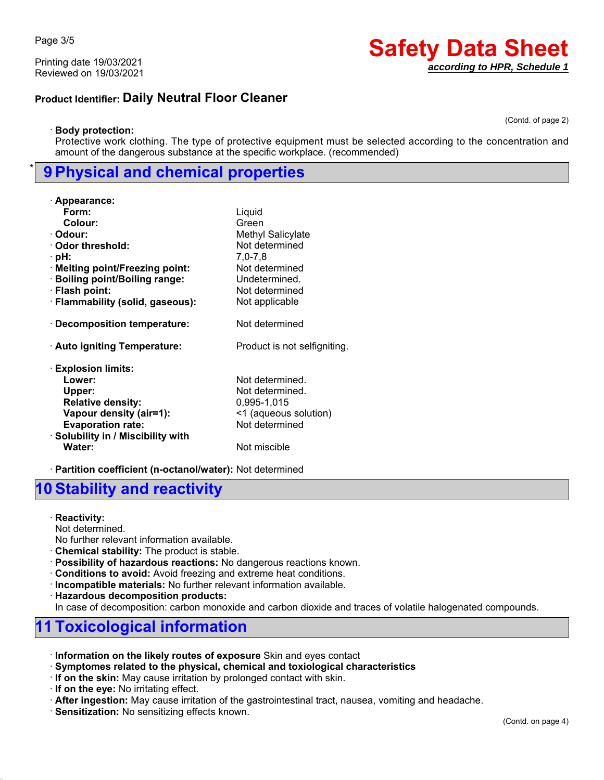Page 3/5

Printing date 19/03/2021 Reviewed on 19/03/2021

## **Product Identifier: Daily Neutral Floor Cleaner**

(Contd. of page 2)

**Safety Data Sheet**

*according to HPR, Schedule 1*

#### ꞏ **Body protection:**

Protective work clothing. The type of protective equipment must be selected according to the concentration and amount of the dangerous substance at the specific workplace. (recommended)

## \* **9 Physical and chemical properties**

| · Appearance:                      |                              |
|------------------------------------|------------------------------|
| Form:                              | Liquid                       |
| Colour:                            | Green                        |
| · Odour:                           | <b>Methyl Salicylate</b>     |
| · Odor threshold:                  | Not determined               |
| ∴pH:                               | $7,0 - 7,8$                  |
| · Melting point/Freezing point:    | Not determined               |
| · Boiling point/Boiling range:     | Undetermined.                |
| · Flash point:                     | Not determined               |
| · Flammability (solid, gaseous):   | Not applicable               |
| $\cdot$ Decomposition temperature: | Not determined               |
| · Auto igniting Temperature:       | Product is not selfigniting. |
| <b>Explosion limits:</b>           |                              |
| Lower:                             | Not determined.              |
| Upper:                             | Not determined.              |
| <b>Relative density:</b>           | 0,995-1,015                  |
| Vapour density (air=1):            | <1 (aqueous solution)        |
| <b>Evaporation rate:</b>           | Not determined               |
| · Solubility in / Miscibility with |                              |
| Water:                             | Not miscible                 |

ꞏ **Partition coefficient (n-octanol/water):** Not determined

## **10 Stability and reactivity**

ꞏ **Reactivity:**

Not determined.

No further relevant information available.

- ꞏ **Chemical stability:** The product is stable.
- ꞏ **Possibility of hazardous reactions:** No dangerous reactions known.
- ꞏ **Conditions to avoid:** Avoid freezing and extreme heat conditions.
- ꞏ **Incompatible materials:** No further relevant information available.

ꞏ **Hazardous decomposition products:**

In case of decomposition: carbon monoxide and carbon dioxide and traces of volatile halogenated compounds.

# **11 Toxicological information**

- ꞏ **Information on the likely routes of exposure** Skin and eyes contact
- ꞏ **Symptomes related to the physical, chemical and toxiological characteristics**
- ꞏ **If on the skin:** May cause irritation by prolonged contact with skin.
- ꞏ **If on the eye:** No irritating effect.

ꞏ **After ingestion:** May cause irritation of the gastrointestinal tract, nausea, vomiting and headache.

ꞏ **Sensitization:** No sensitizing effects known.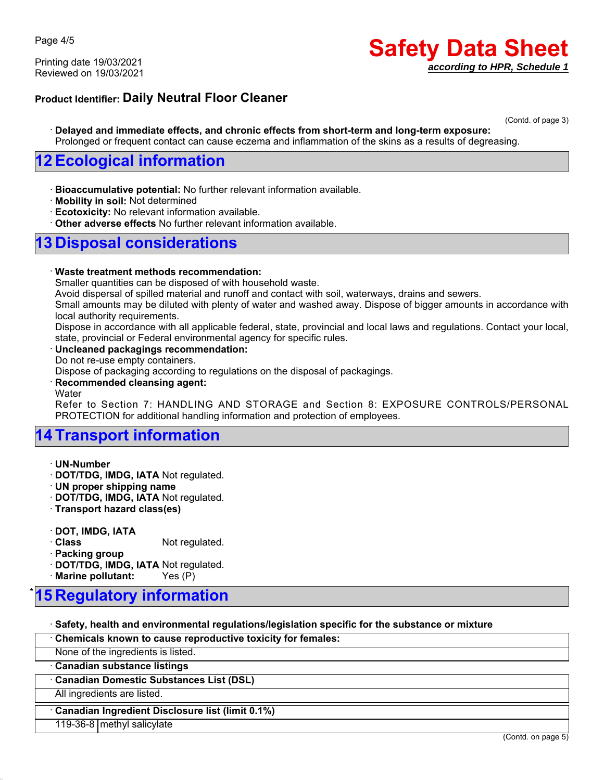Printing date 19/03/2021 Reviewed on 19/03/2021

# **Safety Data Sheet** *according to HPR, Schedule 1*

## **Product Identifier: Daily Neutral Floor Cleaner**

(Contd. of page 3)

ꞏ **Delayed and immediate effects, and chronic effects from short-term and long-term exposure:** Prolonged or frequent contact can cause eczema and inflammation of the skins as a results of degreasing.

## **12 Ecological information**

ꞏ **Bioaccumulative potential:** No further relevant information available.

- ꞏ **Mobility in soil:** Not determined
- ꞏ **Ecotoxicity:** No relevant information available.
- ꞏ **Other adverse effects** No further relevant information available.

# **13 Disposal considerations**

#### ꞏ **Waste treatment methods recommendation:**

Smaller quantities can be disposed of with household waste.

Avoid dispersal of spilled material and runoff and contact with soil, waterways, drains and sewers.

Small amounts may be diluted with plenty of water and washed away. Dispose of bigger amounts in accordance with local authority requirements.

Dispose in accordance with all applicable federal, state, provincial and local laws and regulations. Contact your local, state, provincial or Federal environmental agency for specific rules.

#### ꞏ **Uncleaned packagings recommendation:**

Do not re-use empty containers.

Dispose of packaging according to regulations on the disposal of packagings.

#### ꞏ **Recommended cleansing agent:**

**Water** 

Refer to Section 7: HANDLING AND STORAGE and Section 8: EXPOSURE CONTROLS/PERSONAL PROTECTION for additional handling information and protection of employees.

# **14 Transport information**

ꞏ **UN-Number**

ꞏ **DOT/TDG, IMDG, IATA** Not regulated.

ꞏ **UN proper shipping name**

ꞏ **DOT/TDG, IMDG, IATA** Not regulated.

ꞏ **Transport hazard class(es)**

ꞏ **DOT, IMDG, IATA**

**Class** Not regulated.

ꞏ **Packing group**

ꞏ **DOT/TDG, IMDG, IATA** Not regulated.

ꞏ **Marine pollutant:** Yes (P)

# **5 Regulatory information**

ꞏ **Safety, health and environmental regulations/legislation specific for the substance or mixture**

ꞏ **Chemicals known to cause reproductive toxicity for females:**

None of the ingredients is listed.

ꞏ **Canadian substance listings**

ꞏ **Canadian Domestic Substances List (DSL)**

All ingredients are listed.

ꞏ **Canadian Ingredient Disclosure list (limit 0.1%)**

119-36-8 methyl salicylate